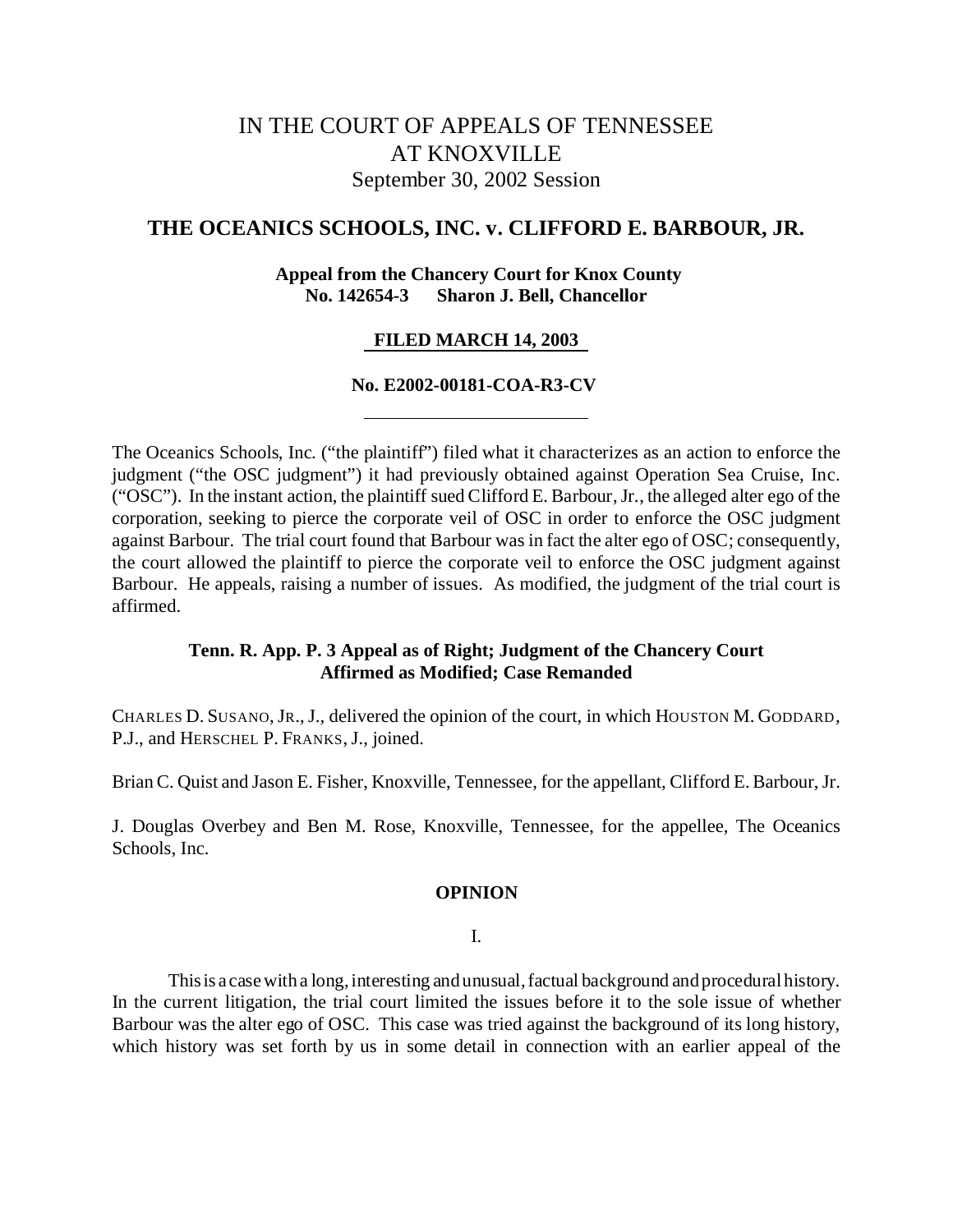# IN THE COURT OF APPEALS OF TENNESSEE AT KNOXVILLE September 30, 2002 Session

# **THE OCEANICS SCHOOLS, INC. v. CLIFFORD E. BARBOUR, JR.**

# **Appeal from the Chancery Court for Knox County No. 142654-3 Sharon J. Bell, Chancellor**

# **FILED MARCH 14, 2003**

## **No. E2002-00181-COA-R3-CV**

The Oceanics Schools, Inc. ("the plaintiff") filed what it characterizes as an action to enforce the judgment ("the OSC judgment") it had previously obtained against Operation Sea Cruise, Inc. ("OSC"). In the instant action, the plaintiff sued Clifford E. Barbour, Jr., the alleged alter ego of the corporation, seeking to pierce the corporate veil of OSC in order to enforce the OSC judgment against Barbour. The trial court found that Barbour was in fact the alter ego of OSC; consequently, the court allowed the plaintiff to pierce the corporate veil to enforce the OSC judgment against Barbour. He appeals, raising a number of issues. As modified, the judgment of the trial court is affirmed.

## **Tenn. R. App. P. 3 Appeal as of Right; Judgment of the Chancery Court Affirmed as Modified; Case Remanded**

CHARLES D. SUSANO,JR.,J., delivered the opinion of the court, in which HOUSTON M. GODDARD, P.J., and HERSCHEL P. FRANKS, J., joined.

Brian C. Quist and Jason E. Fisher, Knoxville, Tennessee, for the appellant, Clifford E. Barbour, Jr.

J. Douglas Overbey and Ben M. Rose, Knoxville, Tennessee, for the appellee, The Oceanics Schools, Inc.

#### **OPINION**

#### I.

Thisis a case with a long, interesting and unusual, factual background and procedural history. In the current litigation, the trial court limited the issues before it to the sole issue of whether Barbour was the alter ego of OSC. This case was tried against the background of its long history, which history was set forth by us in some detail in connection with an earlier appeal of the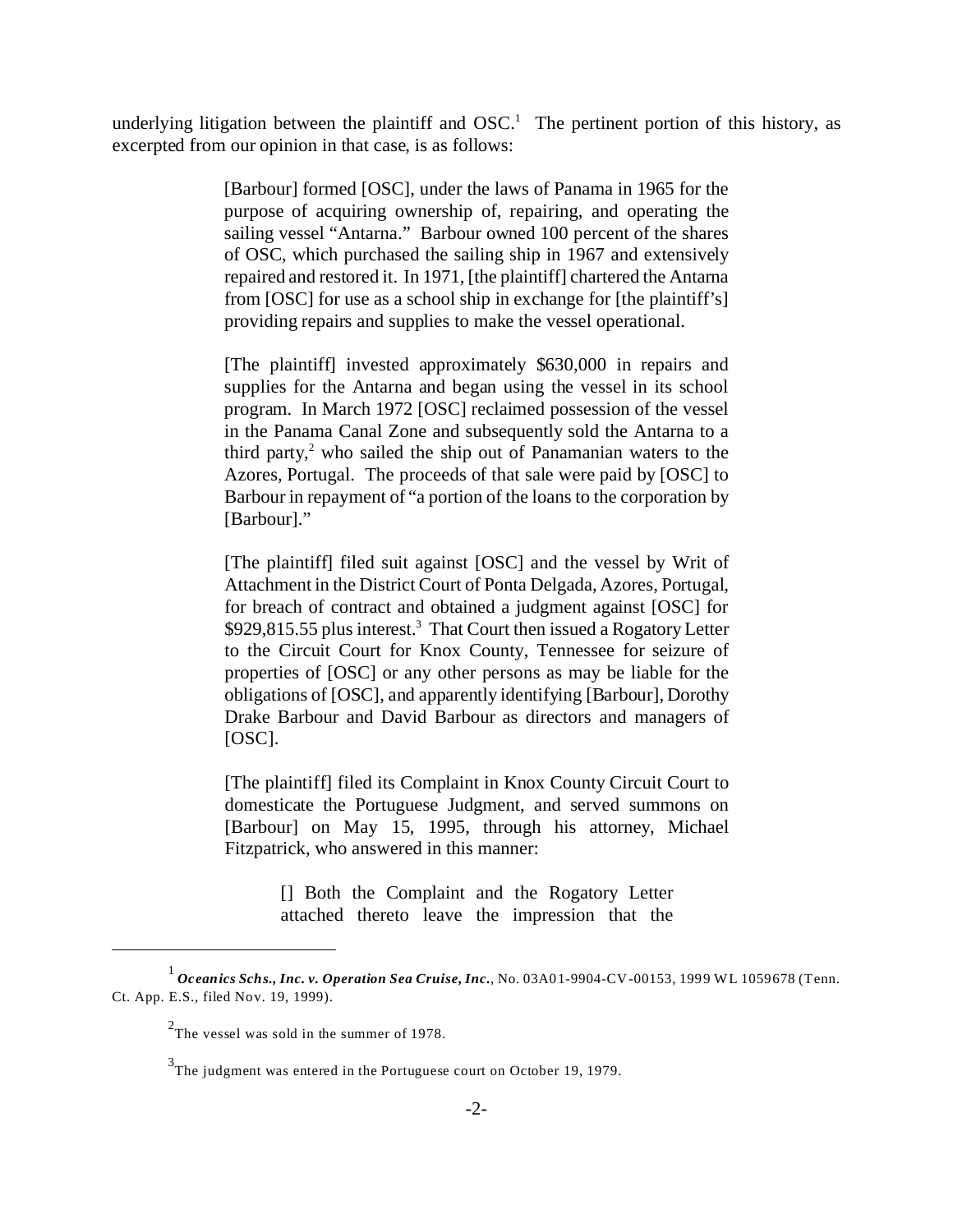underlying litigation between the plaintiff and  $OSC<sup>1</sup>$ . The pertinent portion of this history, as excerpted from our opinion in that case, is as follows:

> [Barbour] formed [OSC], under the laws of Panama in 1965 for the purpose of acquiring ownership of, repairing, and operating the sailing vessel "Antarna." Barbour owned 100 percent of the shares of OSC, which purchased the sailing ship in 1967 and extensively repaired and restored it. In 1971, [the plaintiff] chartered the Antarna from [OSC] for use as a school ship in exchange for [the plaintiff's] providing repairs and supplies to make the vessel operational.

> [The plaintiff] invested approximately \$630,000 in repairs and supplies for the Antarna and began using the vessel in its school program. In March 1972 [OSC] reclaimed possession of the vessel in the Panama Canal Zone and subsequently sold the Antarna to a third party, $2$  who sailed the ship out of Panamanian waters to the Azores, Portugal. The proceeds of that sale were paid by [OSC] to Barbour in repayment of "a portion of the loans to the corporation by [Barbour]."

> [The plaintiff] filed suit against [OSC] and the vessel by Writ of Attachment in the District Court of Ponta Delgada, Azores, Portugal, for breach of contract and obtained a judgment against [OSC] for \$929,815.55 plus interest.<sup>3</sup> That Court then issued a Rogatory Letter to the Circuit Court for Knox County, Tennessee for seizure of properties of [OSC] or any other persons as may be liable for the obligations of [OSC], and apparently identifying [Barbour], Dorothy Drake Barbour and David Barbour as directors and managers of [OSC].

> [The plaintiff] filed its Complaint in Knox County Circuit Court to domesticate the Portuguese Judgment, and served summons on [Barbour] on May 15, 1995, through his attorney, Michael Fitzpatrick, who answered in this manner:

> > [] Both the Complaint and the Rogatory Letter attached thereto leave the impression that the

<sup>1</sup> *Oceanics Schs., Inc. v. Operation Sea Cruise, Inc.*, No. 03A01-9904-CV-00153, 1999 WL 1059678 (Tenn. Ct. App. E.S., filed Nov. 19, 1999).

 $2$ The vessel was sold in the summer of 1978.

 $3$ The judgment was entered in the Portuguese court on October 19, 1979.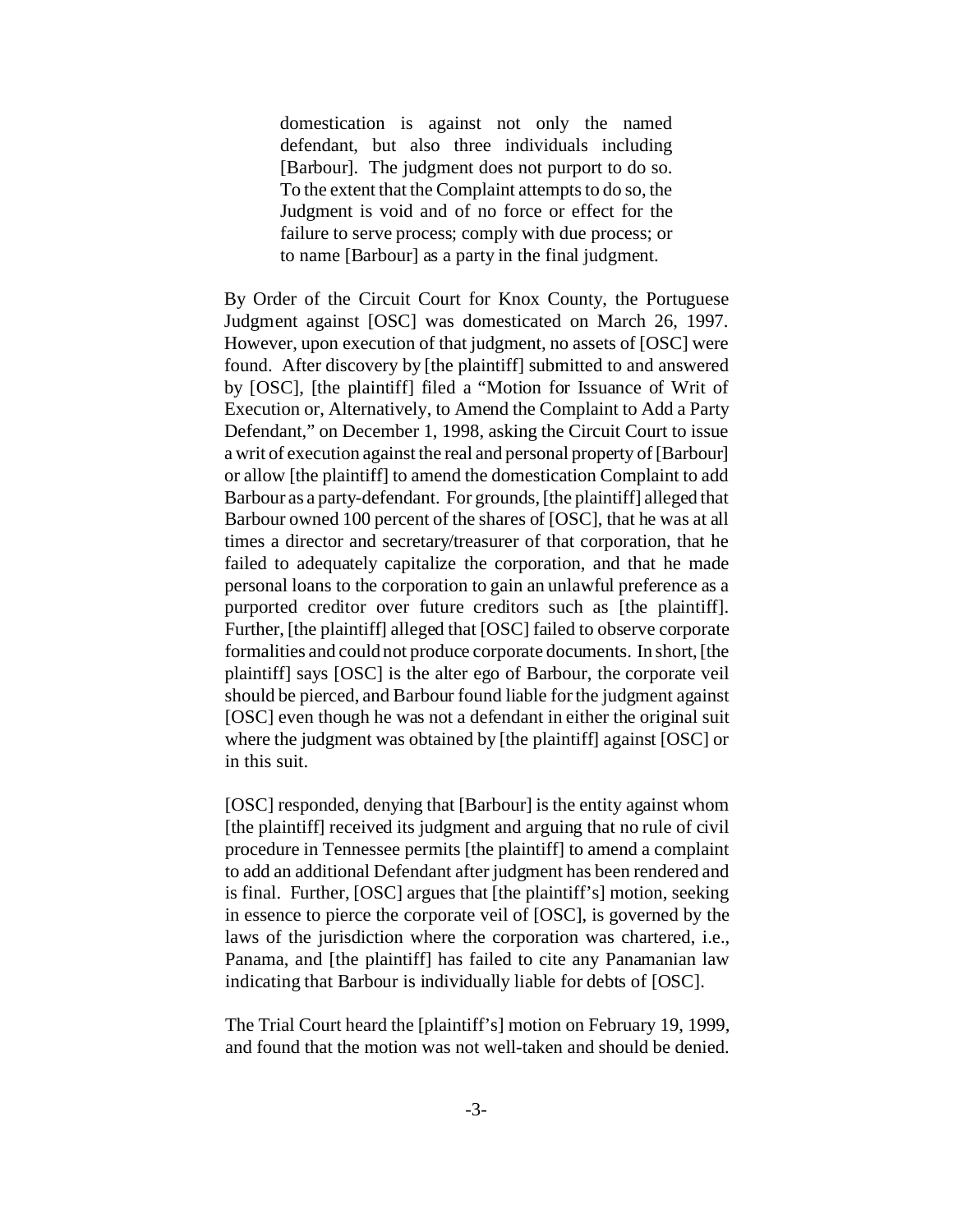domestication is against not only the named defendant, but also three individuals including [Barbour]. The judgment does not purport to do so. To the extent that the Complaint attempts to do so, the Judgment is void and of no force or effect for the failure to serve process; comply with due process; or to name [Barbour] as a party in the final judgment.

By Order of the Circuit Court for Knox County, the Portuguese Judgment against [OSC] was domesticated on March 26, 1997. However, upon execution of that judgment, no assets of [OSC] were found. After discovery by [the plaintiff] submitted to and answered by [OSC], [the plaintiff] filed a "Motion for Issuance of Writ of Execution or, Alternatively, to Amend the Complaint to Add a Party Defendant," on December 1, 1998, asking the Circuit Court to issue a writ of execution against the real and personal property of [Barbour] or allow [the plaintiff] to amend the domestication Complaint to add Barbour as a party-defendant. For grounds, [the plaintiff] alleged that Barbour owned 100 percent of the shares of [OSC], that he was at all times a director and secretary/treasurer of that corporation, that he failed to adequately capitalize the corporation, and that he made personal loans to the corporation to gain an unlawful preference as a purported creditor over future creditors such as [the plaintiff]. Further, [the plaintiff] alleged that [OSC] failed to observe corporate formalities and could not produce corporate documents. In short, [the plaintiff] says [OSC] is the alter ego of Barbour, the corporate veil should be pierced, and Barbour found liable for the judgment against [OSC] even though he was not a defendant in either the original suit where the judgment was obtained by [the plaintiff] against [OSC] or in this suit.

[OSC] responded, denying that [Barbour] is the entity against whom [the plaintiff] received its judgment and arguing that no rule of civil procedure in Tennessee permits [the plaintiff] to amend a complaint to add an additional Defendant after judgment has been rendered and is final. Further, [OSC] argues that [the plaintiff's] motion, seeking in essence to pierce the corporate veil of [OSC], is governed by the laws of the jurisdiction where the corporation was chartered, i.e., Panama, and [the plaintiff] has failed to cite any Panamanian law indicating that Barbour is individually liable for debts of [OSC].

The Trial Court heard the [plaintiff's] motion on February 19, 1999, and found that the motion was not well-taken and should be denied.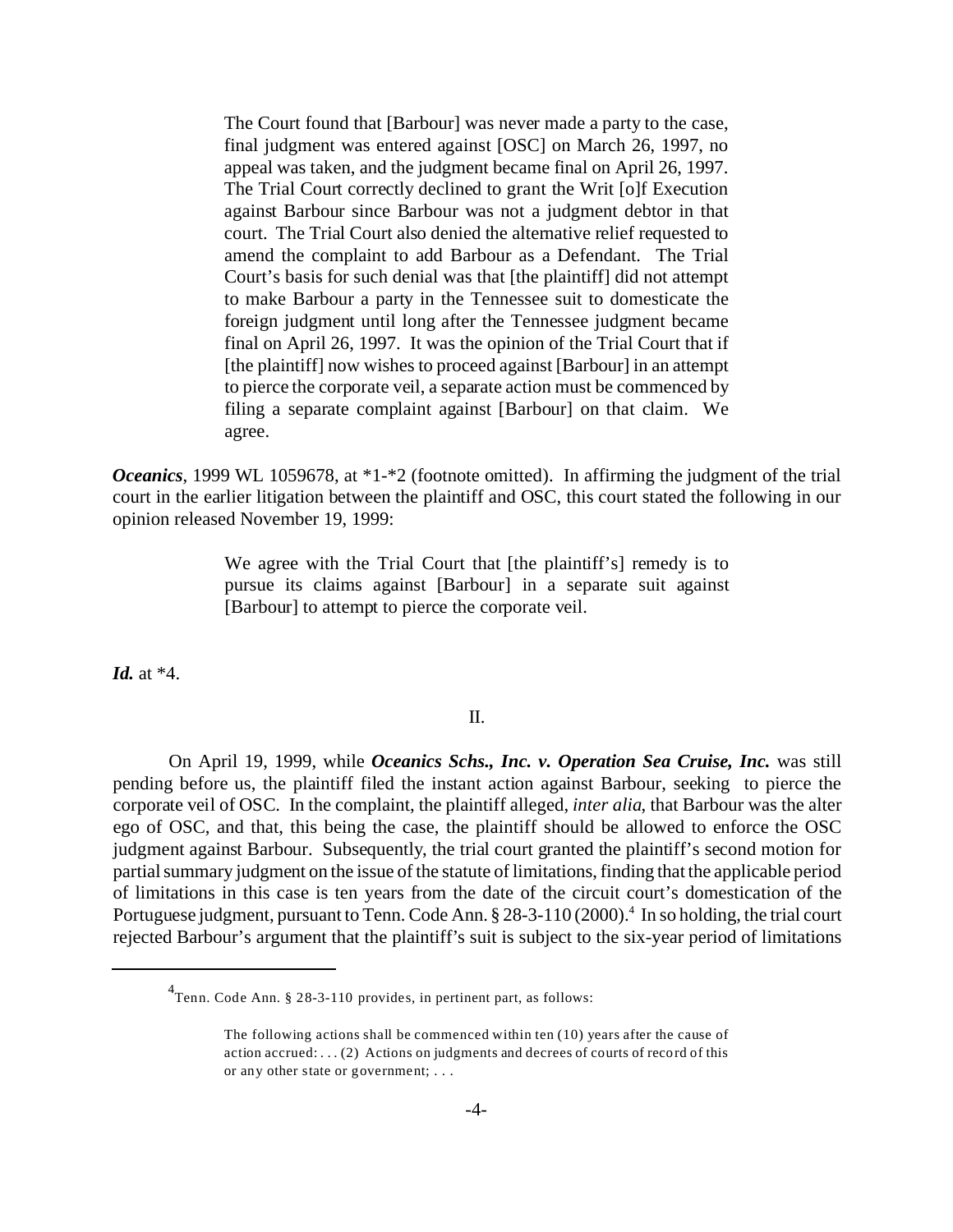The Court found that [Barbour] was never made a party to the case, final judgment was entered against [OSC] on March 26, 1997, no appeal was taken, and the judgment became final on April 26, 1997. The Trial Court correctly declined to grant the Writ [o]f Execution against Barbour since Barbour was not a judgment debtor in that court. The Trial Court also denied the alternative relief requested to amend the complaint to add Barbour as a Defendant. The Trial Court's basis for such denial was that [the plaintiff] did not attempt to make Barbour a party in the Tennessee suit to domesticate the foreign judgment until long after the Tennessee judgment became final on April 26, 1997. It was the opinion of the Trial Court that if [the plaintiff] now wishes to proceed against [Barbour] in an attempt to pierce the corporate veil, a separate action must be commenced by filing a separate complaint against [Barbour] on that claim. We agree.

*Oceanics*, 1999 WL 1059678, at \*1-\*2 (footnote omitted). In affirming the judgment of the trial court in the earlier litigation between the plaintiff and OSC, this court stated the following in our opinion released November 19, 1999:

> We agree with the Trial Court that [the plaintiff's] remedy is to pursue its claims against [Barbour] in a separate suit against [Barbour] to attempt to pierce the corporate veil.

*Id.* at \*4.

## II.

On April 19, 1999, while *Oceanics Schs., Inc. v. Operation Sea Cruise, Inc.* was still pending before us, the plaintiff filed the instant action against Barbour, seeking to pierce the corporate veil of OSC. In the complaint, the plaintiff alleged, *inter alia*, that Barbour was the alter ego of OSC, and that, this being the case, the plaintiff should be allowed to enforce the OSC judgment against Barbour. Subsequently, the trial court granted the plaintiff's second motion for partial summary judgment on the issue of the statute of limitations, finding that the applicable period of limitations in this case is ten years from the date of the circuit court's domestication of the Portuguese judgment, pursuant to Tenn. Code Ann. § 28-3-110 (2000).<sup>4</sup> In so holding, the trial court rejected Barbour's argument that the plaintiff's suit is subject to the six-year period of limitations

<sup>&</sup>lt;sup>4</sup>Tenn. Code Ann. § 28-3-110 provides, in pertinent part, as follows:

The following actions shall be commenced within ten (10) years after the cause of action accrued: . . . (2) Actions on judgments and decrees of courts of record of this or any other state or government; . . .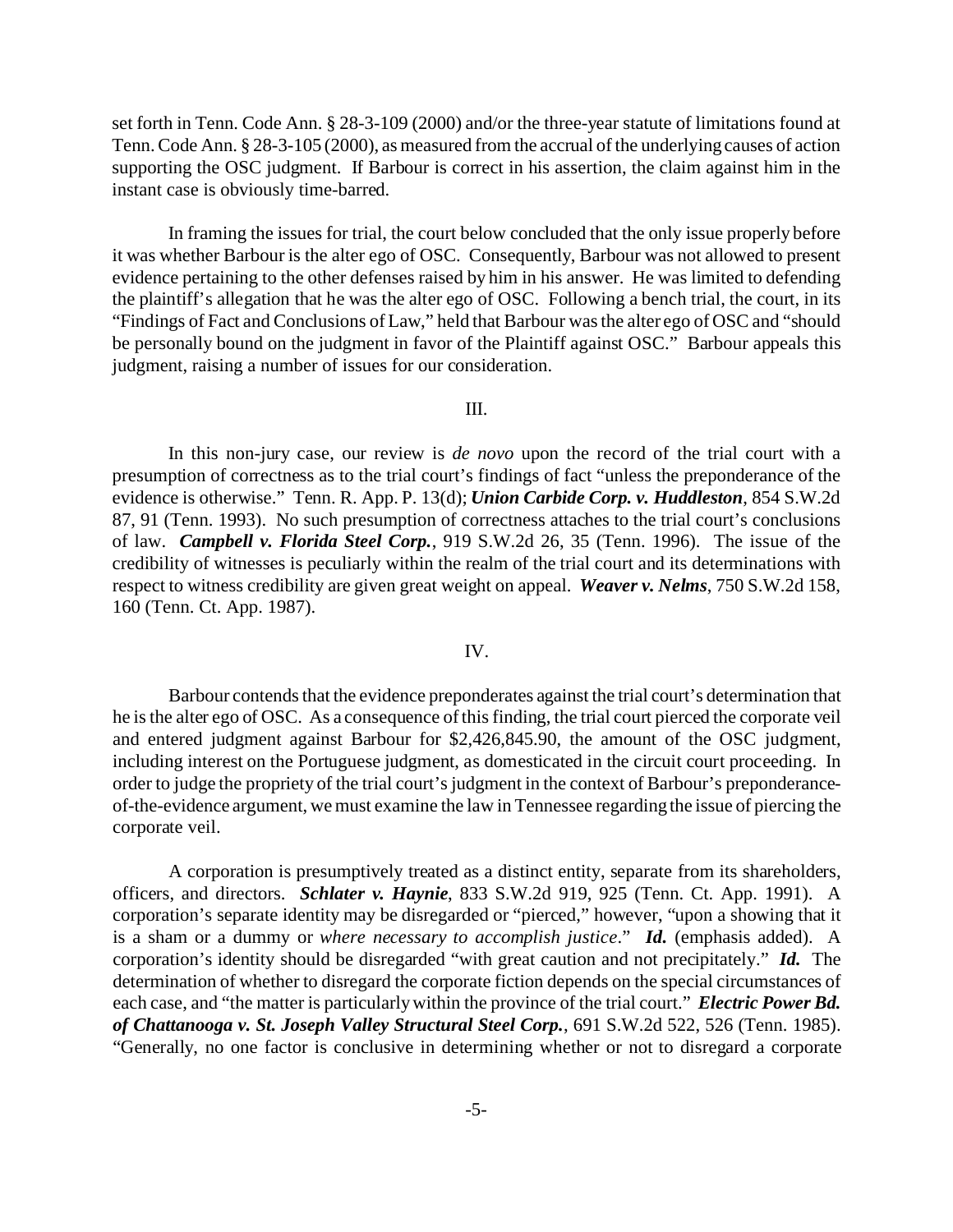set forth in Tenn. Code Ann. § 28-3-109 (2000) and/or the three-year statute of limitations found at Tenn. Code Ann. § 28-3-105 (2000), as measured from the accrual of the underlying causes of action supporting the OSC judgment. If Barbour is correct in his assertion, the claim against him in the instant case is obviously time-barred.

In framing the issues for trial, the court below concluded that the only issue properly before it was whether Barbour is the alter ego of OSC. Consequently, Barbour was not allowed to present evidence pertaining to the other defenses raised by him in his answer. He was limited to defending the plaintiff's allegation that he was the alter ego of OSC. Following a bench trial, the court, in its "Findings of Fact and Conclusions of Law," held that Barbour was the alter ego of OSC and "should be personally bound on the judgment in favor of the Plaintiff against OSC." Barbour appeals this judgment, raising a number of issues for our consideration.

III.

In this non-jury case, our review is *de novo* upon the record of the trial court with a presumption of correctness as to the trial court's findings of fact "unless the preponderance of the evidence is otherwise." Tenn. R. App. P. 13(d); *Union Carbide Corp. v. Huddleston*, 854 S.W.2d 87, 91 (Tenn. 1993). No such presumption of correctness attaches to the trial court's conclusions of law. *Campbell v. Florida Steel Corp.*, 919 S.W.2d 26, 35 (Tenn. 1996). The issue of the credibility of witnesses is peculiarly within the realm of the trial court and its determinations with respect to witness credibility are given great weight on appeal. *Weaver v. Nelms*, 750 S.W.2d 158, 160 (Tenn. Ct. App. 1987).

## IV.

Barbour contends that the evidence preponderates against the trial court's determination that he is the alter ego of OSC. As a consequence of this finding, the trial court pierced the corporate veil and entered judgment against Barbour for \$2,426,845.90, the amount of the OSC judgment, including interest on the Portuguese judgment, as domesticated in the circuit court proceeding. In order to judge the propriety of the trial court's judgment in the context of Barbour's preponderanceof-the-evidence argument, we must examine the law in Tennessee regarding the issue of piercing the corporate veil.

A corporation is presumptively treated as a distinct entity, separate from its shareholders, officers, and directors. *Schlater v. Haynie*, 833 S.W.2d 919, 925 (Tenn. Ct. App. 1991). A corporation's separate identity may be disregarded or "pierced," however, "upon a showing that it is a sham or a dummy or *where necessary to accomplish justice*." *Id.* (emphasis added).A corporation's identity should be disregarded "with great caution and not precipitately." *Id.* The determination of whether to disregard the corporate fiction depends on the special circumstances of each case, and "the matter is particularly within the province of the trial court." *Electric Power Bd. of Chattanooga v. St. Joseph Valley Structural Steel Corp.*, 691 S.W.2d 522, 526 (Tenn. 1985). "Generally, no one factor is conclusive in determining whether or not to disregard a corporate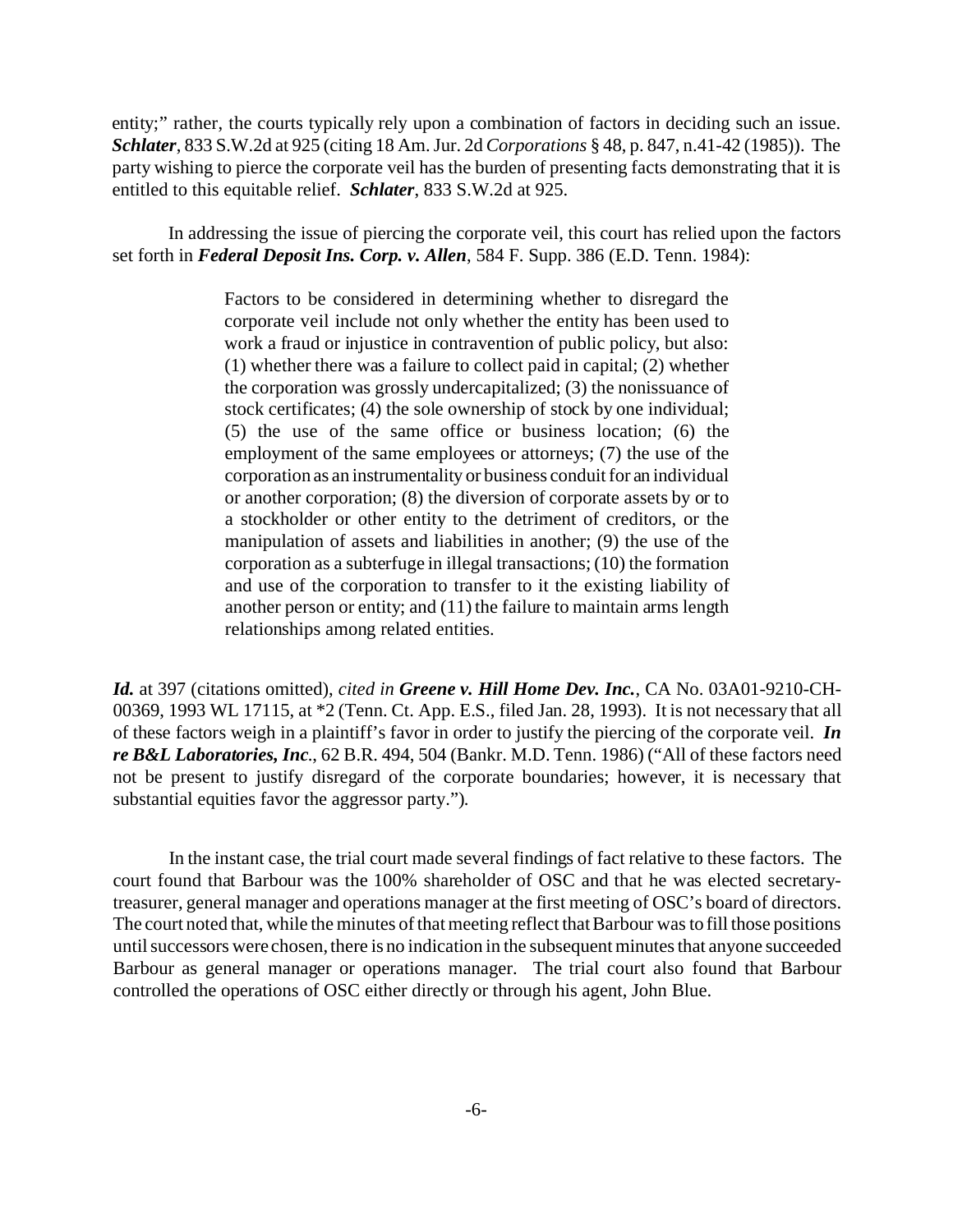entity;" rather, the courts typically rely upon a combination of factors in deciding such an issue. *Schlater*, 833 S.W.2d at 925 (citing 18 Am. Jur. 2d *Corporations* § 48, p. 847, n.41-42 (1985)). The party wishing to pierce the corporate veil has the burden of presenting facts demonstrating that it is entitled to this equitable relief. *Schlater*, 833 S.W.2d at 925.

In addressing the issue of piercing the corporate veil, this court has relied upon the factors set forth in *Federal Deposit Ins. Corp. v. Allen*, 584 F. Supp. 386 (E.D. Tenn. 1984):

> Factors to be considered in determining whether to disregard the corporate veil include not only whether the entity has been used to work a fraud or injustice in contravention of public policy, but also: (1) whether there was a failure to collect paid in capital; (2) whether the corporation was grossly undercapitalized; (3) the nonissuance of stock certificates; (4) the sole ownership of stock by one individual; (5) the use of the same office or business location; (6) the employment of the same employees or attorneys; (7) the use of the corporation as an instrumentality or business conduit for an individual or another corporation; (8) the diversion of corporate assets by or to a stockholder or other entity to the detriment of creditors, or the manipulation of assets and liabilities in another; (9) the use of the corporation as a subterfuge in illegal transactions; (10) the formation and use of the corporation to transfer to it the existing liability of another person or entity; and (11) the failure to maintain arms length relationships among related entities.

*Id.* at 397 (citations omitted), *cited in Greene v. Hill Home Dev. Inc.*, CA No. 03A01-9210-CH-00369, 1993 WL 17115, at \*2 (Tenn. Ct. App. E.S., filed Jan. 28, 1993). It is not necessary that all of these factors weigh in a plaintiff's favor in order to justify the piercing of the corporate veil. *In re B&L Laboratories, Inc*., 62 B.R. 494, 504 (Bankr. M.D. Tenn. 1986) ("All of these factors need not be present to justify disregard of the corporate boundaries; however, it is necessary that substantial equities favor the aggressor party.").

In the instant case, the trial court made several findings of fact relative to these factors. The court found that Barbour was the 100% shareholder of OSC and that he was elected secretarytreasurer, general manager and operations manager at the first meeting of OSC's board of directors. The court noted that, while the minutes of that meeting reflect that Barbour was to fill those positions until successors were chosen, there is no indication in the subsequent minutes that anyone succeeded Barbour as general manager or operations manager. The trial court also found that Barbour controlled the operations of OSC either directly or through his agent, John Blue.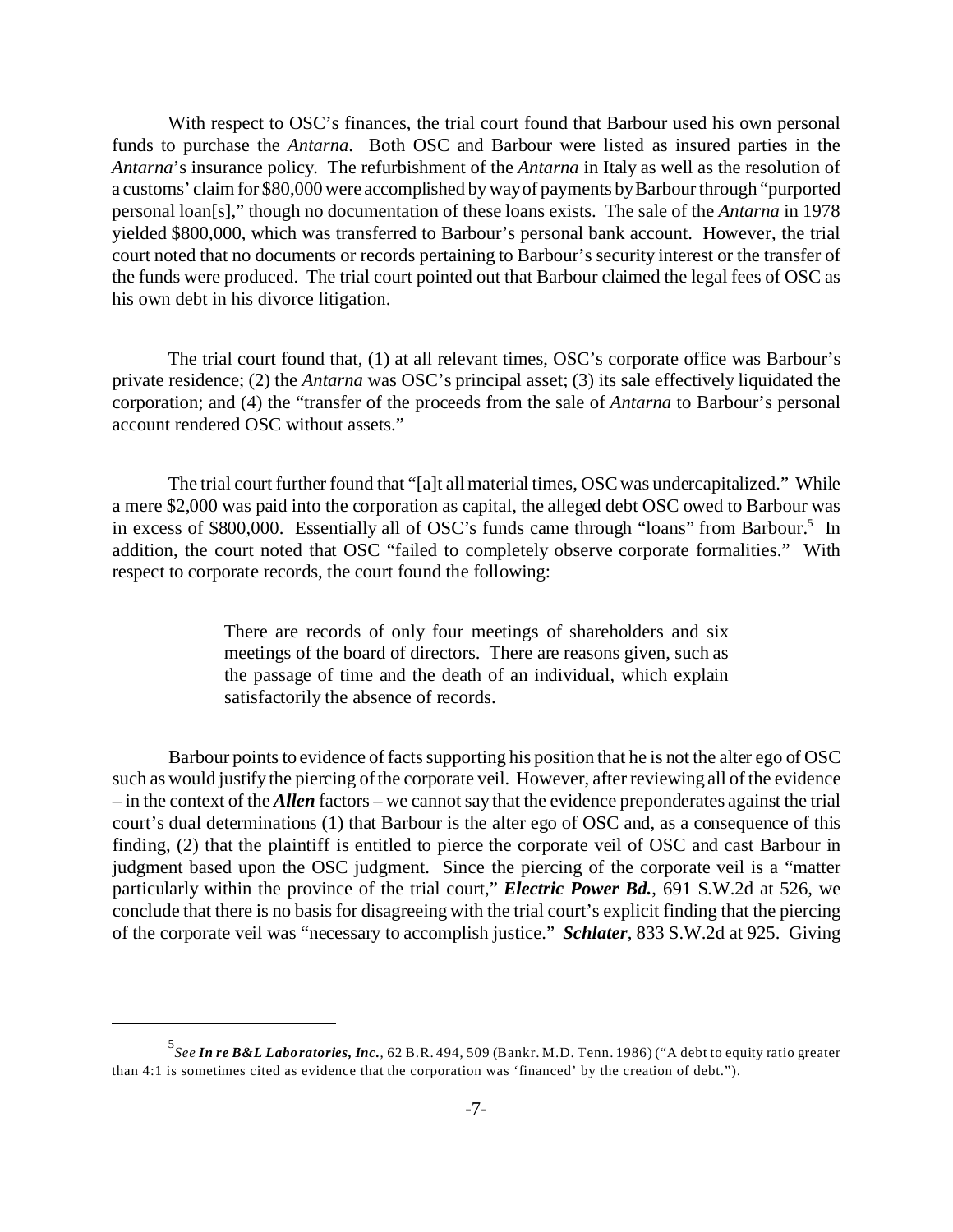With respect to OSC's finances, the trial court found that Barbour used his own personal funds to purchase the *Antarna*. Both OSC and Barbour were listed as insured parties in the *Antarna*'s insurance policy. The refurbishment of the *Antarna* in Italy as well as the resolution of a customs' claim for \$80,000 were accomplished by way of payments by Barbour through "purported personal loan[s]," though no documentation of these loans exists. The sale of the *Antarna* in 1978 yielded \$800,000, which was transferred to Barbour's personal bank account. However, the trial court noted that no documents or records pertaining to Barbour's security interest or the transfer of the funds were produced. The trial court pointed out that Barbour claimed the legal fees of OSC as his own debt in his divorce litigation.

The trial court found that, (1) at all relevant times, OSC's corporate office was Barbour's private residence; (2) the *Antarna* was OSC's principal asset; (3) its sale effectively liquidated the corporation; and (4) the "transfer of the proceeds from the sale of *Antarna* to Barbour's personal account rendered OSC without assets."

The trial court further found that "[a]t all material times, OSC was undercapitalized." While a mere \$2,000 was paid into the corporation as capital, the alleged debt OSC owed to Barbour was in excess of \$800,000. Essentially all of OSC's funds came through "loans" from Barbour.<sup>5</sup> In addition, the court noted that OSC "failed to completely observe corporate formalities." With respect to corporate records, the court found the following:

> There are records of only four meetings of shareholders and six meetings of the board of directors. There are reasons given, such as the passage of time and the death of an individual, which explain satisfactorily the absence of records.

Barbour points to evidence of facts supporting his position that he is not the alter ego of OSC such as would justify the piercing of the corporate veil. However, after reviewing all of the evidence – in the context of the *Allen* factors – we cannot say that the evidence preponderates against the trial court's dual determinations (1) that Barbour is the alter ego of OSC and, as a consequence of this finding, (2) that the plaintiff is entitled to pierce the corporate veil of OSC and cast Barbour in judgment based upon the OSC judgment. Since the piercing of the corporate veil is a "matter particularly within the province of the trial court," *Electric Power Bd.*, 691 S.W.2d at 526, we conclude that there is no basis for disagreeing with the trial court's explicit finding that the piercing of the corporate veil was "necessary to accomplish justice." *Schlater*, 833 S.W.2d at 925. Giving

<sup>5</sup> *See In re B&L Laboratories, Inc.*, 62 B.R. 494, 509 (Bankr. M.D. Tenn. 1986) ("A debt to equity ratio greater than 4:1 is sometimes cited as evidence that the corporation was 'financed' by the creation of debt.").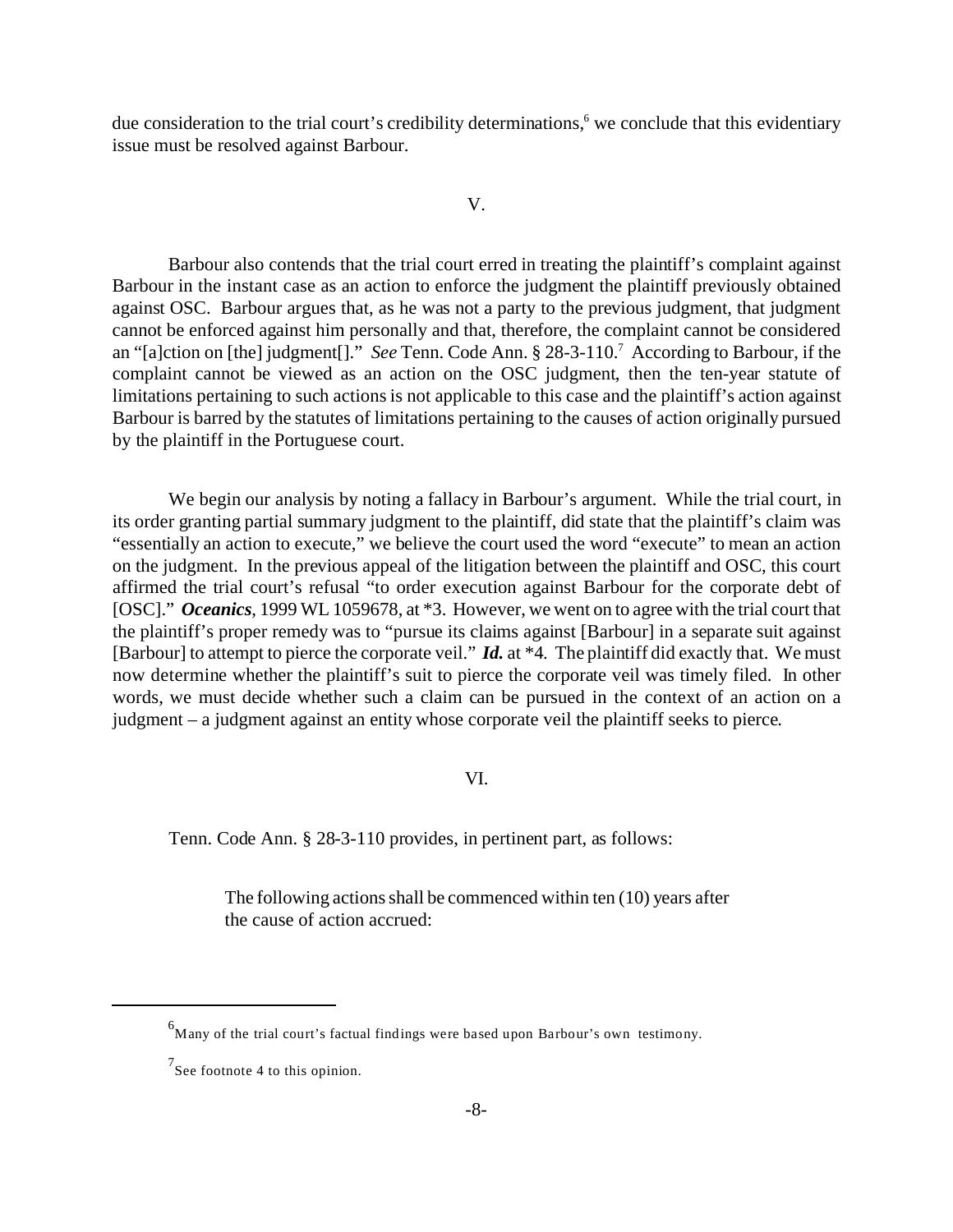due consideration to the trial court's credibility determinations,<sup>6</sup> we conclude that this evidentiary issue must be resolved against Barbour.

#### V.

Barbour also contends that the trial court erred in treating the plaintiff's complaint against Barbour in the instant case as an action to enforce the judgment the plaintiff previously obtained against OSC. Barbour argues that, as he was not a party to the previous judgment, that judgment cannot be enforced against him personally and that, therefore, the complaint cannot be considered an "[a]ction on [the] judgment[]." *See* Tenn. Code Ann. § 28-3-110.<sup>7</sup> According to Barbour, if the complaint cannot be viewed as an action on the OSC judgment, then the ten-year statute of limitations pertaining to such actions is not applicable to this case and the plaintiff's action against Barbour is barred by the statutes of limitations pertaining to the causes of action originally pursued by the plaintiff in the Portuguese court.

We begin our analysis by noting a fallacy in Barbour's argument. While the trial court, in its order granting partial summary judgment to the plaintiff, did state that the plaintiff's claim was "essentially an action to execute," we believe the court used the word "execute" to mean an action on the judgment. In the previous appeal of the litigation between the plaintiff and OSC, this court affirmed the trial court's refusal "to order execution against Barbour for the corporate debt of [OSC]." *Oceanics*, 1999 WL 1059678, at \*3. However, we went on to agree with the trial court that the plaintiff's proper remedy was to "pursue its claims against [Barbour] in a separate suit against [Barbour] to attempt to pierce the corporate veil." *Id.* at \*4. The plaintiff did exactly that. We must now determine whether the plaintiff's suit to pierce the corporate veil was timely filed. In other words, we must decide whether such a claim can be pursued in the context of an action on a judgment – a judgment against an entity whose corporate veil the plaintiff seeks to pierce.

# VI.

Tenn. Code Ann. § 28-3-110 provides, in pertinent part, as follows:

The following actions shall be commenced within ten (10) years after the cause of action accrued:

 $6$ Many of the trial court's factual findings were based upon Barbour's own testimony.

 $7$ See footnote 4 to this opinion.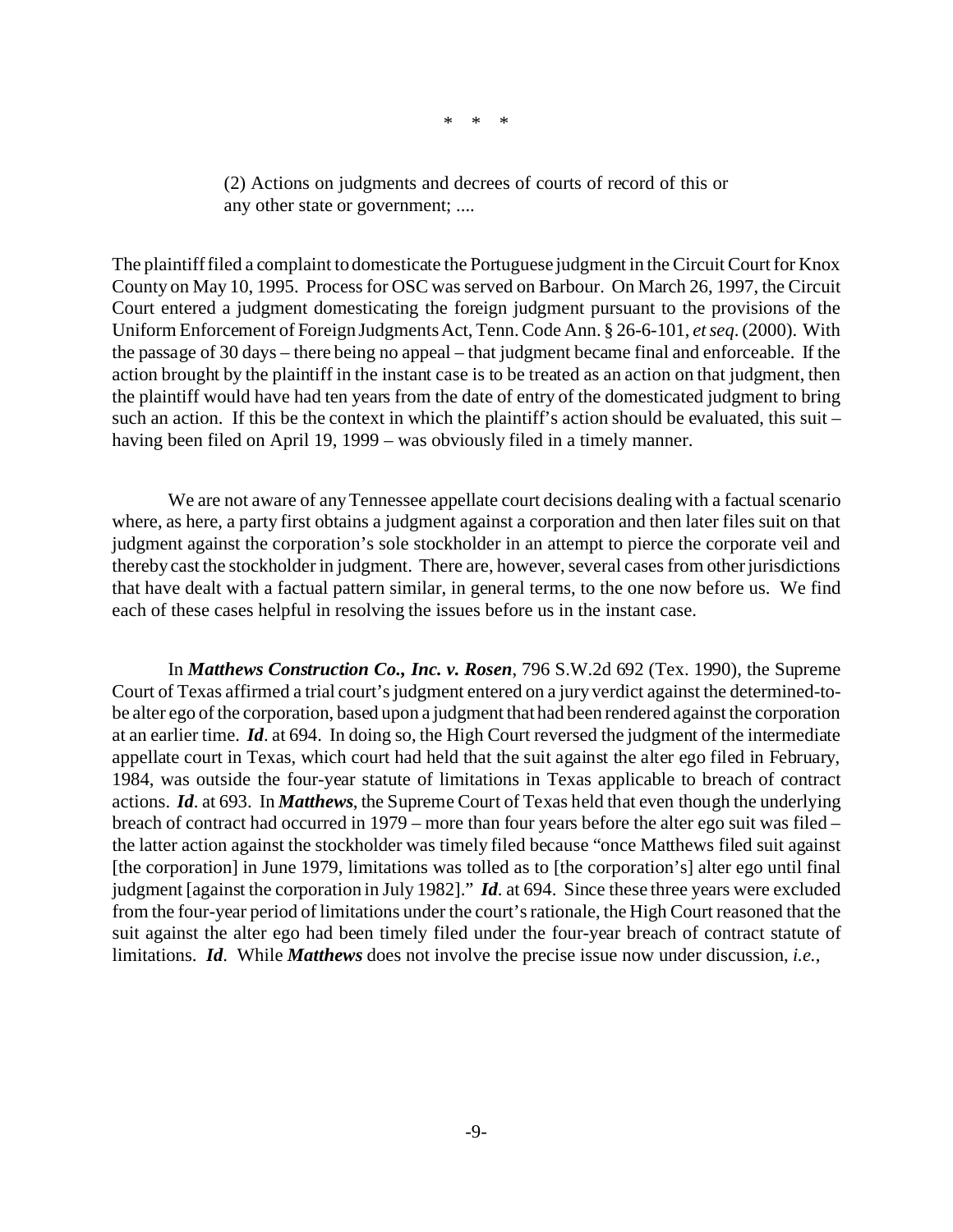\* \* \*

(2) Actions on judgments and decrees of courts of record of this or any other state or government; ....

The plaintiff filed a complaint to domesticate the Portuguese judgment in the Circuit Court for Knox County on May 10, 1995. Process for OSC was served on Barbour. On March 26, 1997, the Circuit Court entered a judgment domesticating the foreign judgment pursuant to the provisions of the Uniform Enforcement of Foreign Judgments Act, Tenn. Code Ann. § 26-6-101, *et seq*. (2000). With the passage of 30 days – there being no appeal – that judgment became final and enforceable. If the action brought by the plaintiff in the instant case is to be treated as an action on that judgment, then the plaintiff would have had ten years from the date of entry of the domesticated judgment to bring such an action. If this be the context in which the plaintiff's action should be evaluated, this suit – having been filed on April 19, 1999 – was obviously filed in a timely manner.

We are not aware of any Tennessee appellate court decisions dealing with a factual scenario where, as here, a party first obtains a judgment against a corporation and then later files suit on that judgment against the corporation's sole stockholder in an attempt to pierce the corporate veil and thereby cast the stockholder in judgment. There are, however, several cases from other jurisdictions that have dealt with a factual pattern similar, in general terms, to the one now before us. We find each of these cases helpful in resolving the issues before us in the instant case.

In *Matthews Construction Co., Inc. v. Rosen*, 796 S.W.2d 692 (Tex. 1990), the Supreme Court of Texas affirmed a trial court's judgment entered on a jury verdict against the determined-tobe alter ego of the corporation, based upon a judgment that had been rendered against the corporation at an earlier time. *Id*. at 694. In doing so, the High Court reversed the judgment of the intermediate appellate court in Texas, which court had held that the suit against the alter ego filed in February, 1984, was outside the four-year statute of limitations in Texas applicable to breach of contract actions. *Id*. at 693. In *Matthews*, the Supreme Court of Texas held that even though the underlying breach of contract had occurred in 1979 – more than four years before the alter ego suit was filed – the latter action against the stockholder was timely filed because "once Matthews filed suit against [the corporation] in June 1979, limitations was tolled as to [the corporation's] alter ego until final judgment [against the corporation in July 1982]." *Id*. at 694. Since these three years were excluded from the four-year period of limitations under the court's rationale, the High Court reasoned that the suit against the alter ego had been timely filed under the four-year breach of contract statute of limitations. *Id*. While *Matthews* does not involve the precise issue now under discussion, *i.e.*,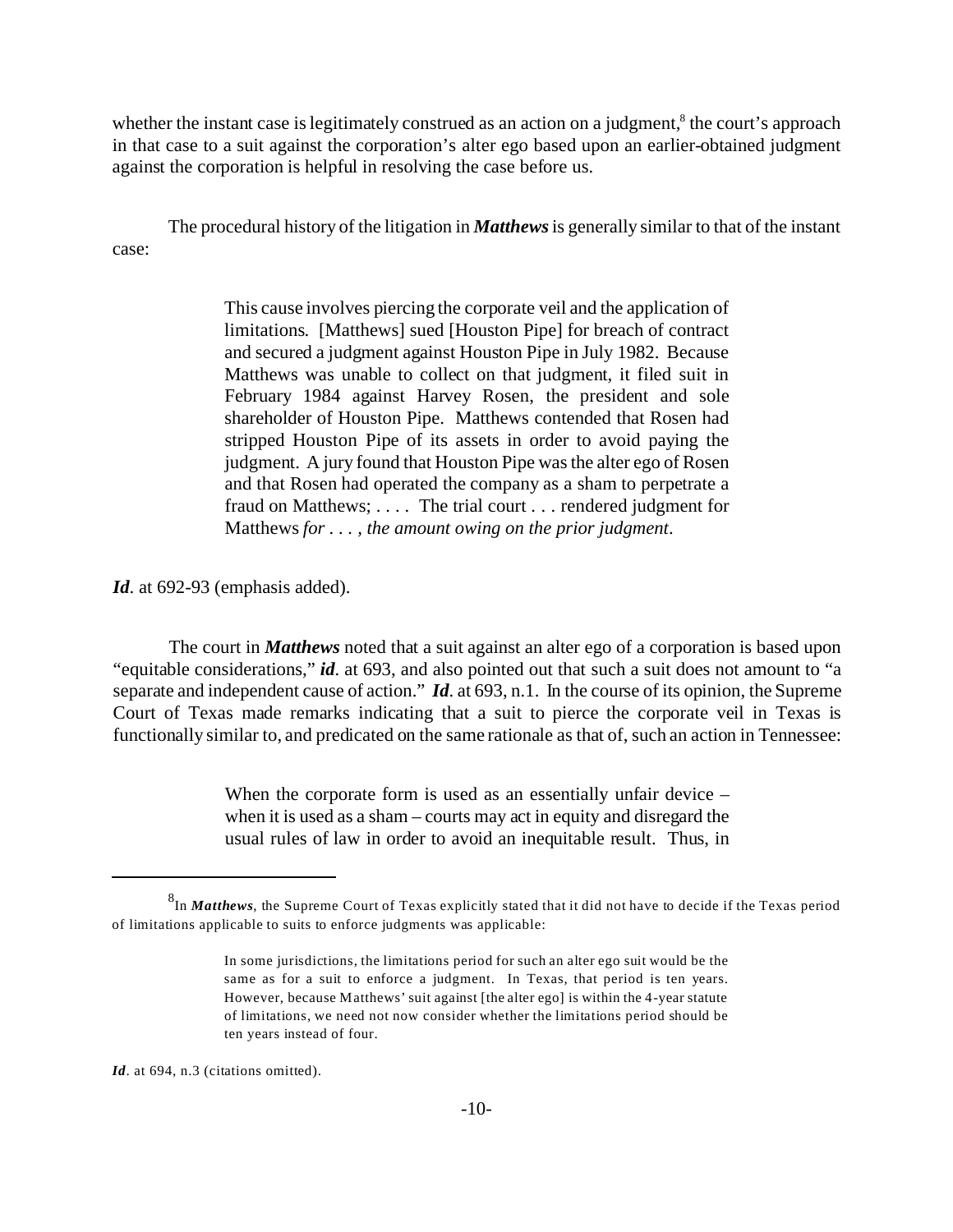whether the instant case is legitimately construed as an action on a judgment,<sup>8</sup> the court's approach in that case to a suit against the corporation's alter ego based upon an earlier-obtained judgment against the corporation is helpful in resolving the case before us.

The procedural history of the litigation in *Matthews* is generally similar to that of the instant case:

> This cause involves piercing the corporate veil and the application of limitations. [Matthews] sued [Houston Pipe] for breach of contract and secured a judgment against Houston Pipe in July 1982. Because Matthews was unable to collect on that judgment, it filed suit in February 1984 against Harvey Rosen, the president and sole shareholder of Houston Pipe. Matthews contended that Rosen had stripped Houston Pipe of its assets in order to avoid paying the judgment. A jury found that Houston Pipe was the alter ego of Rosen and that Rosen had operated the company as a sham to perpetrate a fraud on Matthews; . . . . The trial court . . . rendered judgment for Matthews *for . . . , the amount owing on the prior judgment*.

*Id*. at 692-93 (emphasis added).

The court in *Matthews* noted that a suit against an alter ego of a corporation is based upon "equitable considerations," *id*. at 693, and also pointed out that such a suit does not amount to "a separate and independent cause of action." *Id*. at 693, n.1. In the course of its opinion, the Supreme Court of Texas made remarks indicating that a suit to pierce the corporate veil in Texas is functionally similar to, and predicated on the same rationale as that of, such an action in Tennessee:

> When the corporate form is used as an essentially unfair device – when it is used as a sham – courts may act in equity and disregard the usual rules of law in order to avoid an inequitable result. Thus, in

Id. at 694, n.3 (citations omitted).

<sup>8</sup> In *Matthews*, the Supreme Court of Texas explicitly stated that it did not have to decide if the Texas period of limitations applicable to suits to enforce judgments was applicable:

In some jurisdictions, the limitations period for such an alter ego suit would be the same as for a suit to enforce a judgment. In Texas, that period is ten years. However, because Matthews' suit against [the alter ego] is within the 4-year statute of limitations, we need not now consider whether the limitations period should be ten years instead of four.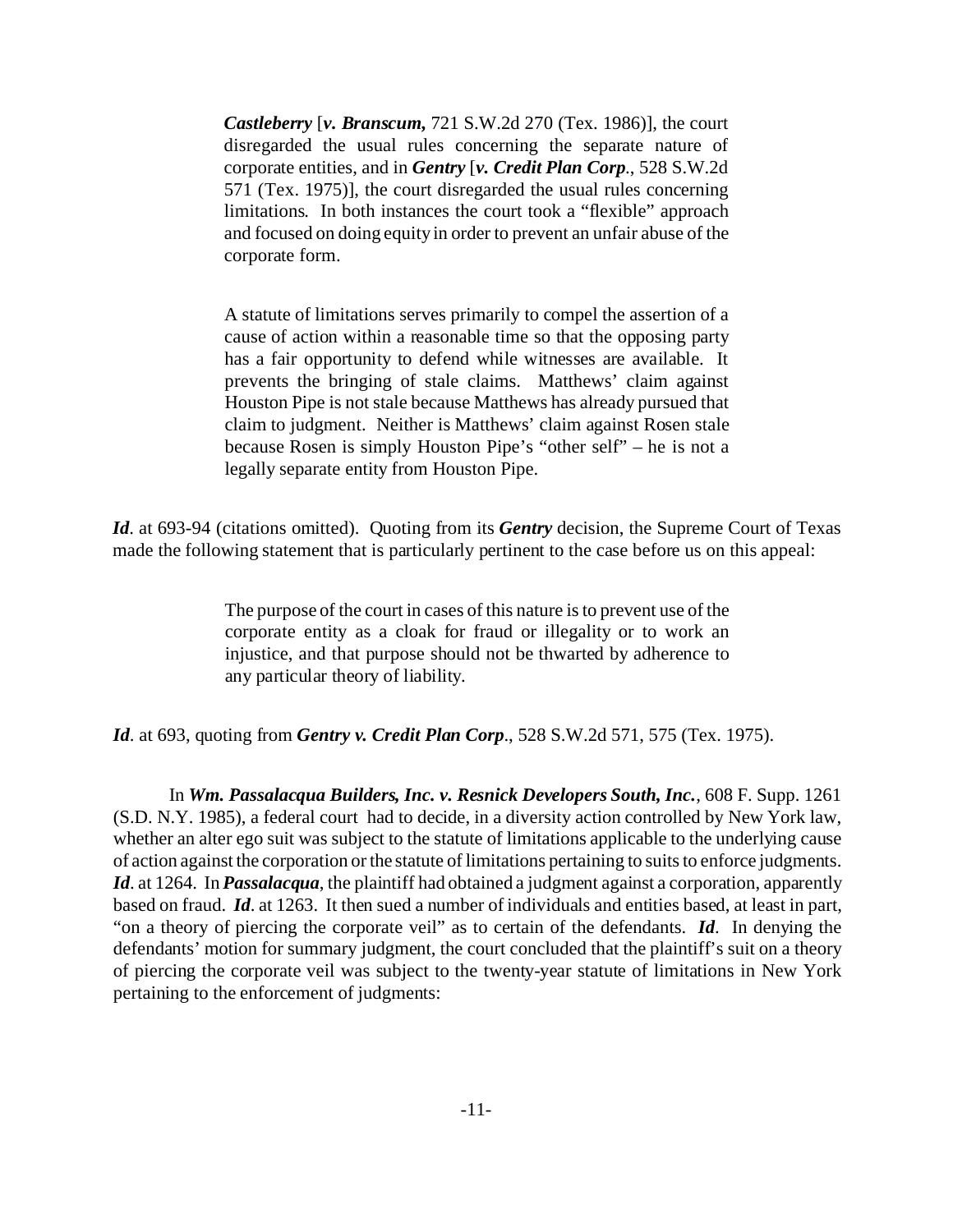*Castleberry* [*v. Branscum,* 721 S.W.2d 270 (Tex. 1986)], the court disregarded the usual rules concerning the separate nature of corporate entities, and in *Gentry* [*v. Credit Plan Corp*., 528 S.W.2d 571 (Tex. 1975)], the court disregarded the usual rules concerning limitations. In both instances the court took a "flexible" approach and focused on doing equity in order to prevent an unfair abuse of the corporate form.

A statute of limitations serves primarily to compel the assertion of a cause of action within a reasonable time so that the opposing party has a fair opportunity to defend while witnesses are available. It prevents the bringing of stale claims. Matthews' claim against Houston Pipe is not stale because Matthews has already pursued that claim to judgment. Neither is Matthews' claim against Rosen stale because Rosen is simply Houston Pipe's "other self" – he is not a legally separate entity from Houston Pipe.

*Id*. at 693-94 (citations omitted). Quoting from its *Gentry* decision, the Supreme Court of Texas made the following statement that is particularly pertinent to the case before us on this appeal:

> The purpose of the court in cases of this nature is to prevent use of the corporate entity as a cloak for fraud or illegality or to work an injustice, and that purpose should not be thwarted by adherence to any particular theory of liability.

*Id*. at 693, quoting from *Gentry v. Credit Plan Corp*., 528 S.W.2d 571, 575 (Tex. 1975).

In *Wm. Passalacqua Builders, Inc. v. Resnick Developers South, Inc.*, 608 F. Supp. 1261 (S.D. N.Y. 1985), a federal court had to decide, in a diversity action controlled by New York law, whether an alter ego suit was subject to the statute of limitations applicable to the underlying cause of action against the corporation or the statute of limitations pertaining to suits to enforce judgments. *Id.* at 1264. In *Passalacqua*, the plaintiff had obtained a judgment against a corporation, apparently based on fraud. *Id*. at 1263. It then sued a number of individuals and entities based, at least in part, "on a theory of piercing the corporate veil" as to certain of the defendants. *Id*. In denying the defendants' motion for summary judgment, the court concluded that the plaintiff's suit on a theory of piercing the corporate veil was subject to the twenty-year statute of limitations in New York pertaining to the enforcement of judgments: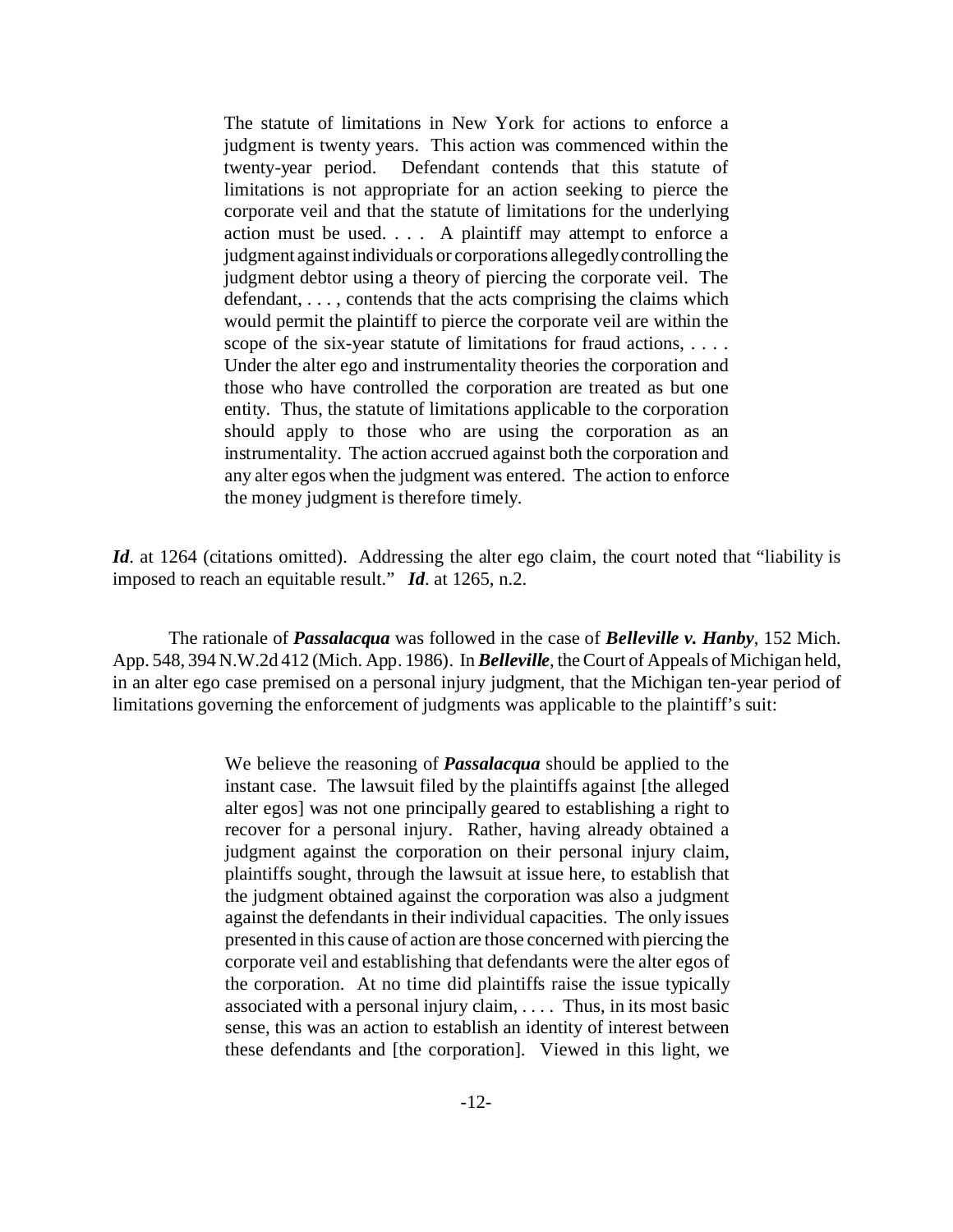The statute of limitations in New York for actions to enforce a judgment is twenty years. This action was commenced within the twenty-year period. Defendant contends that this statute of limitations is not appropriate for an action seeking to pierce the corporate veil and that the statute of limitations for the underlying action must be used. . . . A plaintiff may attempt to enforce a judgment against individuals or corporations allegedly controlling the judgment debtor using a theory of piercing the corporate veil. The defendant, . . . , contends that the acts comprising the claims which would permit the plaintiff to pierce the corporate veil are within the scope of the six-year statute of limitations for fraud actions, . . . . Under the alter ego and instrumentality theories the corporation and those who have controlled the corporation are treated as but one entity. Thus, the statute of limitations applicable to the corporation should apply to those who are using the corporation as an instrumentality. The action accrued against both the corporation and any alter egos when the judgment was entered. The action to enforce the money judgment is therefore timely.

*Id.* at 1264 (citations omitted). Addressing the alter ego claim, the court noted that "liability is imposed to reach an equitable result." *Id*. at 1265, n.2.

The rationale of *Passalacqua* was followed in the case of *Belleville v. Hanby*, 152 Mich. App. 548, 394 N.W.2d 412 (Mich. App. 1986). In *Belleville*, the Court of Appeals of Michigan held, in an alter ego case premised on a personal injury judgment, that the Michigan ten-year period of limitations governing the enforcement of judgments was applicable to the plaintiff's suit:

> We believe the reasoning of *Passalacqua* should be applied to the instant case. The lawsuit filed by the plaintiffs against [the alleged alter egos] was not one principally geared to establishing a right to recover for a personal injury. Rather, having already obtained a judgment against the corporation on their personal injury claim, plaintiffs sought, through the lawsuit at issue here, to establish that the judgment obtained against the corporation was also a judgment against the defendants in their individual capacities. The only issues presented in this cause of action are those concerned with piercing the corporate veil and establishing that defendants were the alter egos of the corporation. At no time did plaintiffs raise the issue typically associated with a personal injury claim, . . . . Thus, in its most basic sense, this was an action to establish an identity of interest between these defendants and [the corporation]. Viewed in this light, we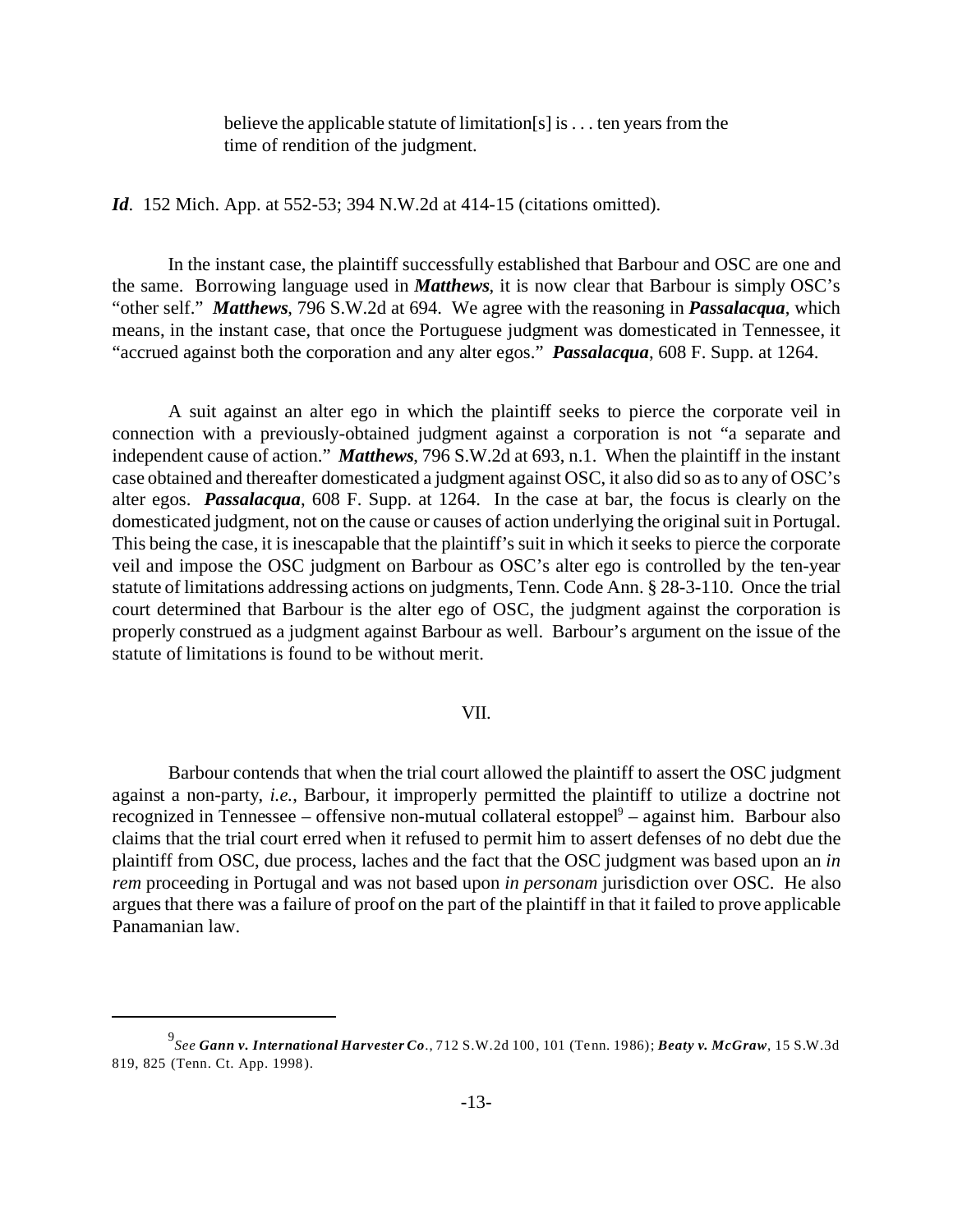believe the applicable statute of limitation[s] is . . . ten years from the time of rendition of the judgment.

*Id*. 152 Mich. App. at 552-53; 394 N.W.2d at 414-15 (citations omitted).

In the instant case, the plaintiff successfully established that Barbour and OSC are one and the same. Borrowing language used in *Matthews*, it is now clear that Barbour is simply OSC's "other self." *Matthews*, 796 S.W.2d at 694. We agree with the reasoning in *Passalacqua*, which means, in the instant case, that once the Portuguese judgment was domesticated in Tennessee, it "accrued against both the corporation and any alter egos." *Passalacqua*, 608 F. Supp. at 1264.

A suit against an alter ego in which the plaintiff seeks to pierce the corporate veil in connection with a previously-obtained judgment against a corporation is not "a separate and independent cause of action." *Matthews*, 796 S.W.2d at 693, n.1. When the plaintiff in the instant case obtained and thereafter domesticated a judgment against OSC, it also did so as to any of OSC's alter egos. *Passalacqua*, 608 F. Supp. at 1264. In the case at bar, the focus is clearly on the domesticated judgment, not on the cause or causes of action underlying the original suit in Portugal. This being the case, it is inescapable that the plaintiff's suit in which it seeks to pierce the corporate veil and impose the OSC judgment on Barbour as OSC's alter ego is controlled by the ten-year statute of limitations addressing actions on judgments, Tenn. Code Ann. § 28-3-110. Once the trial court determined that Barbour is the alter ego of OSC, the judgment against the corporation is properly construed as a judgment against Barbour as well. Barbour's argument on the issue of the statute of limitations is found to be without merit.

## VII.

Barbour contends that when the trial court allowed the plaintiff to assert the OSC judgment against a non-party, *i.e.*, Barbour, it improperly permitted the plaintiff to utilize a doctrine not recognized in Tennessee – offensive non-mutual collateral estoppel<sup>9</sup> – against him. Barbour also claims that the trial court erred when it refused to permit him to assert defenses of no debt due the plaintiff from OSC, due process, laches and the fact that the OSC judgment was based upon an *in rem* proceeding in Portugal and was not based upon *in personam* jurisdiction over OSC. He also argues that there was a failure of proof on the part of the plaintiff in that it failed to prove applicable Panamanian law.

<sup>9</sup> *See Gann v. International Harvester Co*., 712 S.W.2d 100, 101 (Tenn. 1986); *Beaty v. McGraw*, 15 S.W.3d 819, 825 (Tenn. Ct. App. 1998).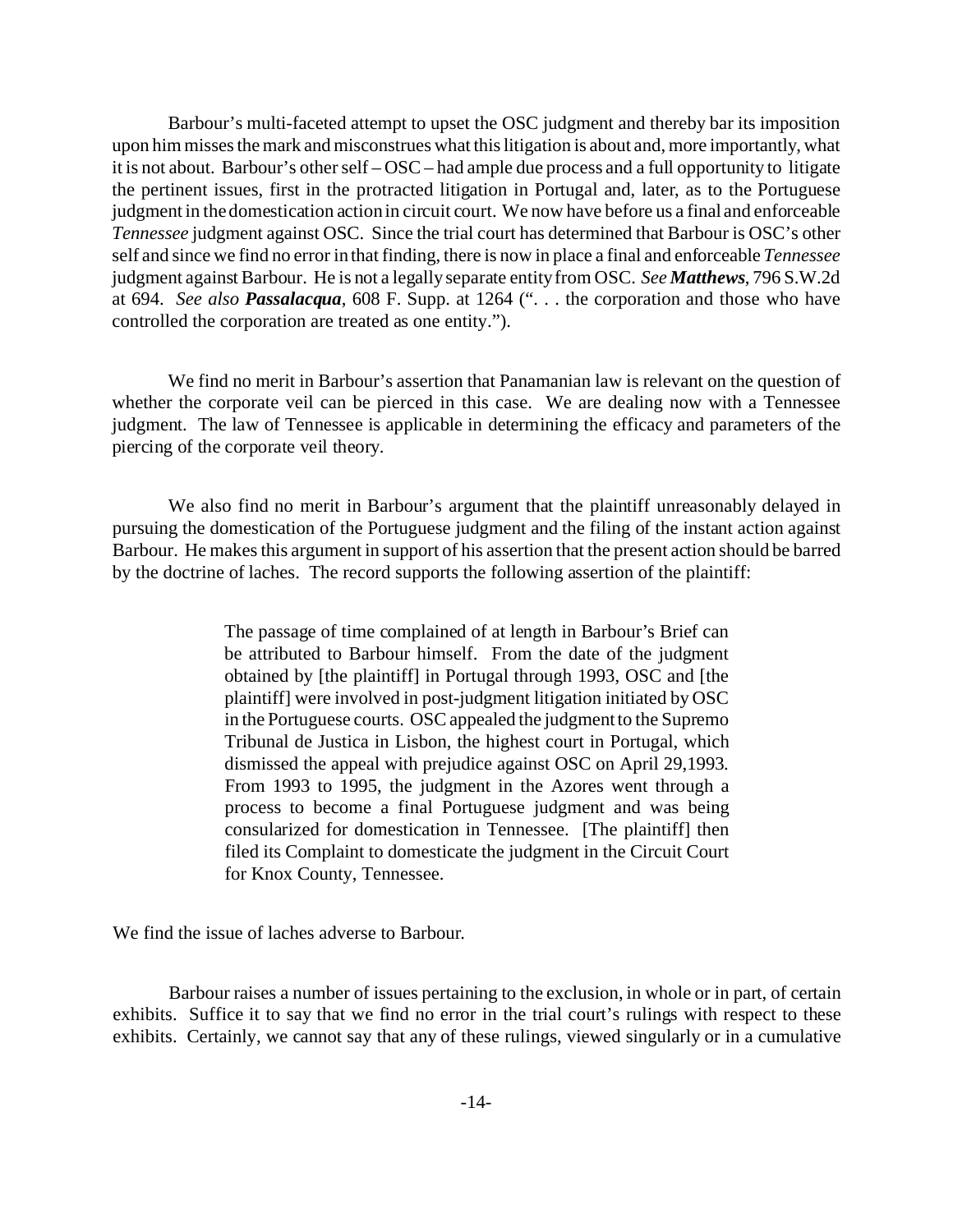Barbour's multi-faceted attempt to upset the OSC judgment and thereby bar its imposition upon him misses the mark and misconstrues what this litigation is about and, more importantly, what it is not about. Barbour's other self – OSC – had ample due process and a full opportunity to litigate the pertinent issues, first in the protracted litigation in Portugal and, later, as to the Portuguese judgment in the domestication action in circuit court. We now have before us a final and enforceable *Tennessee* judgment against OSC. Since the trial court has determined that Barbour is OSC's other self and since we find no error in that finding, there is now in place a final and enforceable *Tennessee* judgment against Barbour. He is not a legally separate entity from OSC. *See Matthews*, 796 S.W.2d at 694. *See also Passalacqua*, 608 F. Supp. at 1264 (". . . the corporation and those who have controlled the corporation are treated as one entity.").

We find no merit in Barbour's assertion that Panamanian law is relevant on the question of whether the corporate veil can be pierced in this case. We are dealing now with a Tennessee judgment. The law of Tennessee is applicable in determining the efficacy and parameters of the piercing of the corporate veil theory.

We also find no merit in Barbour's argument that the plaintiff unreasonably delayed in pursuing the domestication of the Portuguese judgment and the filing of the instant action against Barbour. He makes this argument in support of his assertion that the present action should be barred by the doctrine of laches. The record supports the following assertion of the plaintiff:

> The passage of time complained of at length in Barbour's Brief can be attributed to Barbour himself. From the date of the judgment obtained by [the plaintiff] in Portugal through 1993, OSC and [the plaintiff] were involved in post-judgment litigation initiated by OSC in the Portuguese courts. OSC appealed the judgment to the Supremo Tribunal de Justica in Lisbon, the highest court in Portugal, which dismissed the appeal with prejudice against OSC on April 29,1993. From 1993 to 1995, the judgment in the Azores went through a process to become a final Portuguese judgment and was being consularized for domestication in Tennessee. [The plaintiff] then filed its Complaint to domesticate the judgment in the Circuit Court for Knox County, Tennessee.

We find the issue of laches adverse to Barbour.

Barbour raises a number of issues pertaining to the exclusion, in whole or in part, of certain exhibits. Suffice it to say that we find no error in the trial court's rulings with respect to these exhibits. Certainly, we cannot say that any of these rulings, viewed singularly or in a cumulative